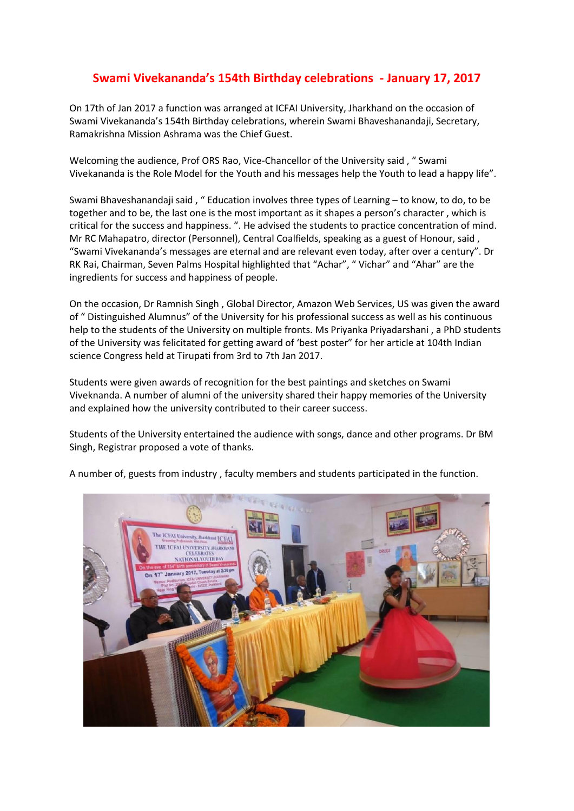## **Swami Vivekananda's 154th Birthday celebrations - January 17, 2017**

On 17th of Jan 2017 a function was arranged at ICFAI University, Jharkhand on the occasion of Swami Vivekananda's 154th Birthday celebrations, wherein Swami Bhaveshanandaji, Secretary, Ramakrishna Mission Ashrama was the Chief Guest.

Welcoming the audience, Prof ORS Rao, Vice-Chancellor of the University said , " Swami Vivekananda is the Role Model for the Youth and his messages help the Youth to lead a happy life".

Swami Bhaveshanandaji said , " Education involves three types of Learning – to know, to do, to be together and to be, the last one is the most important as it shapes a person's character , which is critical for the success and happiness. ". He advised the students to practice concentration of mind. Mr RC Mahapatro, director (Personnel), Central Coalfields, speaking as a guest of Honour, said , "Swami Vivekananda's messages are eternal and are relevant even today, after over a century". Dr RK Rai, Chairman, Seven Palms Hospital highlighted that "Achar", " Vichar" and "Ahar" are the ingredients for success and happiness of people.

On the occasion, Dr Ramnish Singh , Global Director, Amazon Web Services, US was given the award of " Distinguished Alumnus" of the University for his professional success as well as his continuous help to the students of the University on multiple fronts. Ms Priyanka Priyadarshani , a PhD students of the University was felicitated for getting award of 'best poster" for her article at 104th Indian science Congress held at Tirupati from 3rd to 7th Jan 2017.

Students were given awards of recognition for the best paintings and sketches on Swami Viveknanda. A number of alumni of the university shared their happy memories of the University and explained how the university contributed to their career success.

Students of the University entertained the audience with songs, dance and other programs. Dr BM Singh, Registrar proposed a vote of thanks.

A number of, guests from industry , faculty members and students participated in the function.

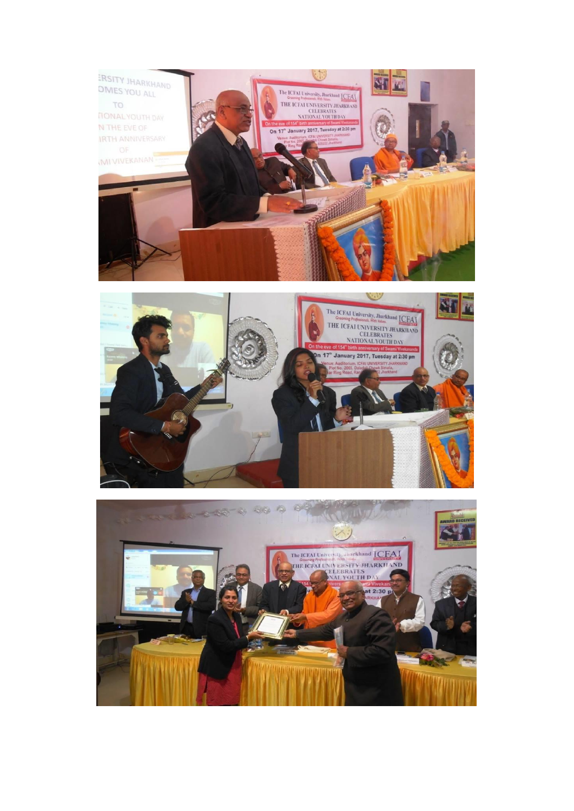



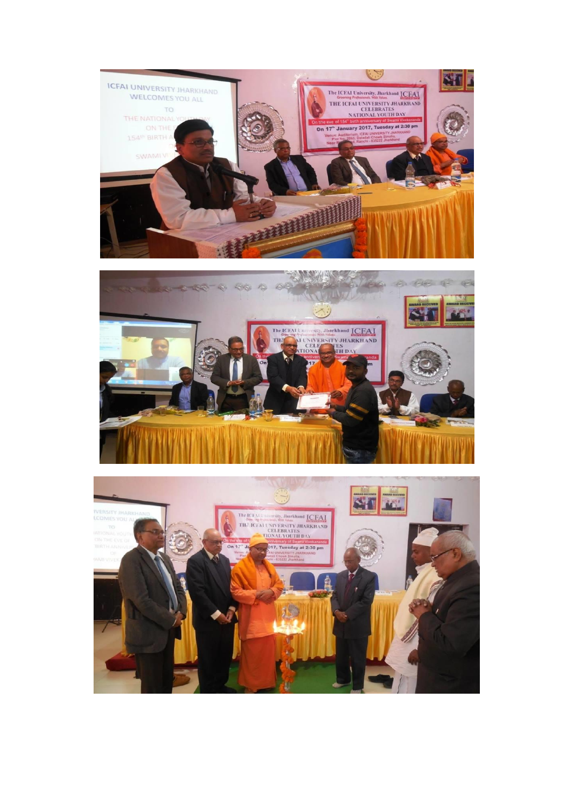